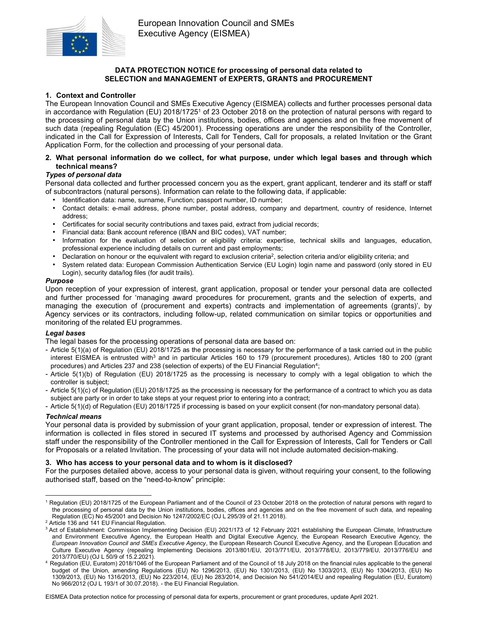

# DATA PROTECTION NOTICE for processing of personal data related to SELECTION and MANAGEMENT of EXPERTS, GRANTS and PROCUREMENT

### 1. Context and Controller

The European Innovation Council and SMEs Executive Agency (EISMEA) collects and further processes personal data in accordance with Regulation (EU) 2018/1725<sup>1</sup> of 23 October 2018 on the protection of natural persons with regard to the processing of personal data by the Union institutions, bodies, offices and agencies and on the free movement of such data (repealing Regulation (EC) 45/2001). Processing operations are under the responsibility of the Controller, indicated in the Call for Expression of Interests, Call for Tenders, Call for proposals, a related Invitation or the Grant Application Form, for the collection and processing of your personal data.

### 2. What personal information do we collect, for what purpose, under which legal bases and through which technical means?

### Types of personal data

Personal data collected and further processed concern you as the expert, grant applicant, tenderer and its staff or staff of subcontractors (natural persons). Information can relate to the following data, if applicable:

- Identification data: name, surname, Function; passport number, ID number;
- Contact details: e-mail address, phone number, postal address, company and department, country of residence, Internet address;
- Certificates for social security contributions and taxes paid, extract from judicial records;
- Financial data: Bank account reference (IBAN and BIC codes), VAT number;
- Information for the evaluation of selection or eligibility criteria: expertise, technical skills and languages, education, professional experience including details on current and past employments;
- Declaration on honour or the equivalent with regard to exclusion criteria<sup>2</sup>, selection criteria and/or eligibility criteria; and
- System related data: European Commission Authentication Service (EU Login) login name and password (only stored in EU Login), security data/log files (for audit trails).

#### Purpose

Upon reception of your expression of interest, grant application, proposal or tender your personal data are collected and further processed for 'managing award procedures for procurement, grants and the selection of experts, and managing the execution of (procurement and experts) contracts and implementation of agreements (grants)', by Agency services or its contractors, including follow-up, related communication on similar topics or opportunities and monitoring of the related EU programmes.

### Legal bases

The legal bases for the processing operations of personal data are based on:

- Article 5(1)(a) of Regulation (EU) 2018/1725 as the processing is necessary for the performance of a task carried out in the public interest EISMEA is entrusted with<sup>3</sup> and in particular Articles 160 to 179 (procurement procedures), Articles 180 to 200 (grant procedures) and Articles 237 and 238 (selection of experts) of the EU Financial Regulation<sup>4</sup>;
- Article 5(1)(b) of Regulation (EU) 2018/1725 as the processing is necessary to comply with a legal obligation to which the controller is subject;
- Article 5(1)(c) of Regulation (EU) 2018/1725 as the processing is necessary for the performance of a contract to which you as data subject are party or in order to take steps at your request prior to entering into a contract;
- Article 5(1)(d) of Regulation (EU) 2018/1725 if processing is based on your explicit consent (for non-mandatory personal data).

### Technical means

Your personal data is provided by submission of your grant application, proposal, tender or expression of interest. The information is collected in files stored in secured IT systems and processed by authorised Agency and Commission staff under the responsibility of the Controller mentioned in the Call for Expression of Interests, Call for Tenders or Call for Proposals or a related Invitation. The processing of your data will not include automated decision-making.

### 3. Who has access to your personal data and to whom is it disclosed?

For the purposes detailed above, access to your personal data is given, without requiring your consent, to the following authorised staff, based on the "need-to-know" principle:

EISMEA Data protection notice for processing of personal data for experts, procurement or grant procedures, update April 2021.

 $\overline{a}$ <sup>1</sup> Regulation (EU) 2018/1725 of the European Parliament and of the Council of 23 October 2018 on the protection of natural persons with regard to the processing of personal data by the Union institutions, bodies, offices and agencies and on the free movement of such data, and repealing Regulation (EC) No 45/2001 and Decision No 1247/2002/EC (OJ L 295/39 of 21.11.2018).

<sup>&</sup>lt;sup>2</sup> Article 136 and 141 EU Financial Regulation.

<sup>&</sup>lt;sup>3</sup> Act of Establishment: Commission Implementing Decision (EU) 2021/173 of 12 February 2021 establishing the European Climate, Infrastructure and Environment Executive Agency, the European Health and Digital Executive Agency, the European Research Executive Agency, the European Innovation Council and SMEs Executive Agency, the European Research Council Executive Agency, and the European Education and Culture Executive Agency (repealing Implementing Decisions 2013/801/EU, 2013/771/EU, 2013/778/EU, 2013/779/EU, 2013/776/EU and 2013/770/EU) (OJ L 50/9 of 15.2.2021).

<sup>4</sup> Regulation (EU, Euratom) 2018/1046 of the European Parliament and of the Council of 18 July 2018 on the financial rules applicable to the general budget of the Union, amending Regulations (EU) No 1296/2013, (EU) No 1301/2013, (EU) No 1303/2013, (EU) No 1304/2013, (EU) No 1309/2013, (EU) No 1316/2013, (EU) No 223/2014, (EU) No 283/2014, and Decision No 541/2014/EU and repealing Regulation (EU, Euratom) No 966/2012 (OJ L 193/1 of 30.07.2018). - the EU Financial Regulation.